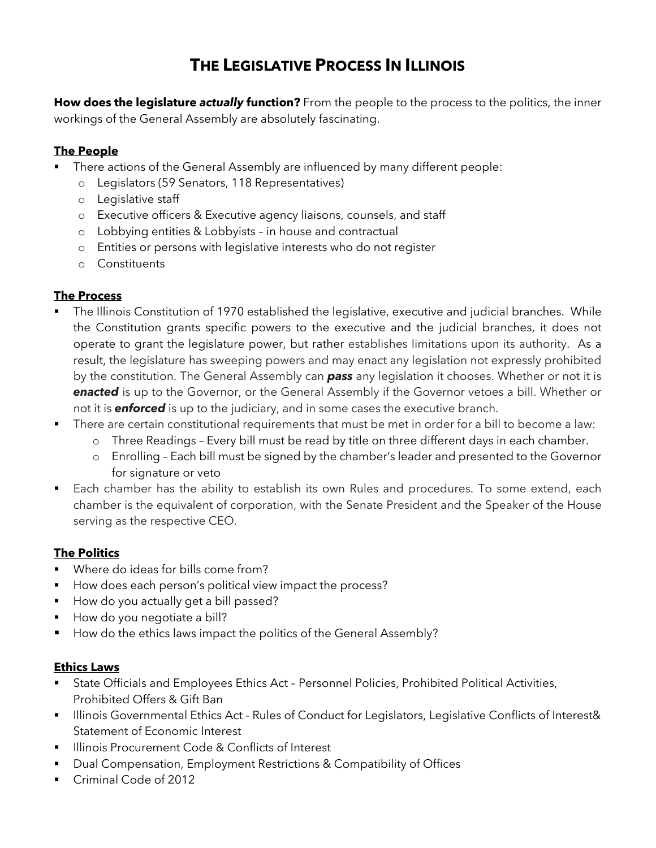# **THE LEGISLATIVE PROCESS IN ILLINOIS**

**How does the legislature** *actually* **function?** From the people to the process to the politics, the inner workings of the General Assembly are absolutely fascinating.

# **The People**

- There actions of the General Assembly are influenced by many different people:
	- o Legislators (59 Senators, 118 Representatives)
	- o Legislative staff
	- o Executive officers & Executive agency liaisons, counsels, and staff
	- o Lobbying entities & Lobbyists in house and contractual
	- o Entities or persons with legislative interests who do not register
	- o Constituents

# **The Process**

- The Illinois Constitution of 1970 established the legislative, executive and judicial branches. While the Constitution grants specific powers to the executive and the judicial branches, it does not operate to grant the legislature power, but rather establishes limitations upon its authority. As a result, the legislature has sweeping powers and may enact any legislation not expressly prohibited by the constitution. The General Assembly can *pass* any legislation it chooses. Whether or not it is *enacted* is up to the Governor, or the General Assembly if the Governor vetoes a bill. Whether or not it is *enforced* is up to the judiciary, and in some cases the executive branch.
- There are certain constitutional requirements that must be met in order for a bill to become a law:
	- o Three Readings Every bill must be read by title on three different days in each chamber.
	- o Enrolling Each bill must be signed by the chamber's leader and presented to the Governor for signature or veto
- Each chamber has the ability to establish its own Rules and procedures. To some extend, each chamber is the equivalent of corporation, with the Senate President and the Speaker of the House serving as the respective CEO.

# **The Politics**

- Where do ideas for bills come from?
- How does each person's political view impact the process?
- **•** How do you actually get a bill passed?
- § How do you negotiate a bill?
- § How do the ethics laws impact the politics of the General Assembly?

## **Ethics Laws**

- State Officials and Employees Ethics Act Personnel Policies, Prohibited Political Activities, Prohibited Offers & Gift Ban
- Illinois Governmental Ethics Act Rules of Conduct for Legislators, Legislative Conflicts of Interest& Statement of Economic Interest
- § Illinois Procurement Code & Conflicts of Interest
- Dual Compensation, Employment Restrictions & Compatibility of Offices
- Criminal Code of 2012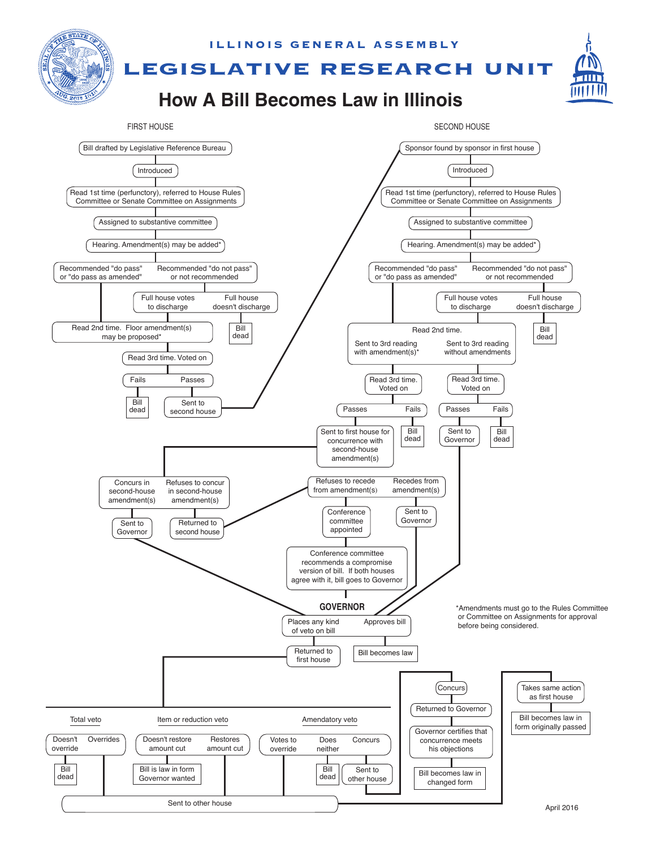

April 2016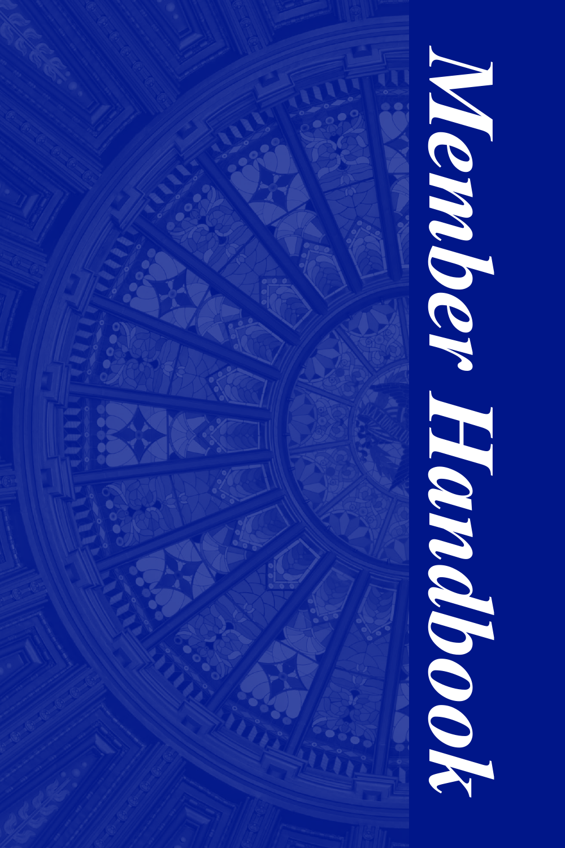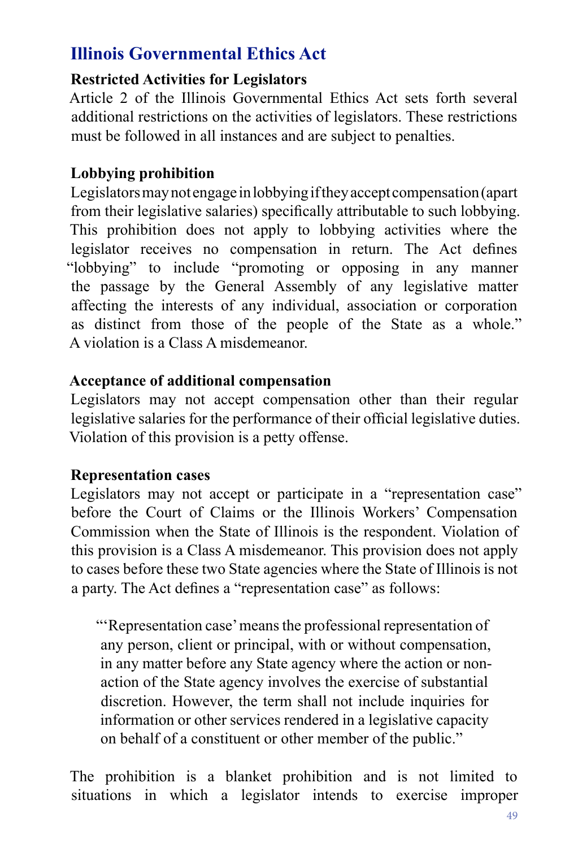# **Illinois Governmental Ethics Act**

## **Restricted Activities for Legislators**

Article 2 of the Illinois Governmental Ethics Act sets forth several additional restrictions on the activities of legislators. These restrictions must be followed in all instances and are subject to penalties.

### **Lobbying prohibition**

Legislators may not engage in lobbying if they accept compensation (apart from their legislative salaries) specifcally attributable to such lobbying. This prohibition does not apply to lobbying activities where the legislator receives no compensation in return. The Act defnes "lobbying" to include "promoting or opposing in any manner the passage by the General Assembly of any legislative matter affecting the interests of any individual, association or corporation as distinct from those of the people of the State as a whole." A violation is a Class A misdemeanor.

### **Acceptance of additional compensation**

Legislators may not accept compensation other than their regular legislative salaries for the performance of their official legislative duties. Violation of this provision is a petty offense.

#### **Representation cases**

Legislators may not accept or participate in a "representation case" before the Court of Claims or the Illinois Workers' Compensation Commission when the State of Illinois is the respondent. Violation of this provision is a Class A misdemeanor. This provision does not apply to cases before these two State agencies where the State of Illinois is not a party. The Act defnes a "representation case" as follows:

"'Representation case' means the professional representation of any person, client or principal, with or without compensation, in any matter before any State agency where the action or nonaction of the State agency involves the exercise of substantial discretion. However, the term shall not include inquiries for information or other services rendered in a legislative capacity on behalf of a constituent or other member of the public."

The prohibition is a blanket prohibition and is not limited to situations in which a legislator intends to exercise improper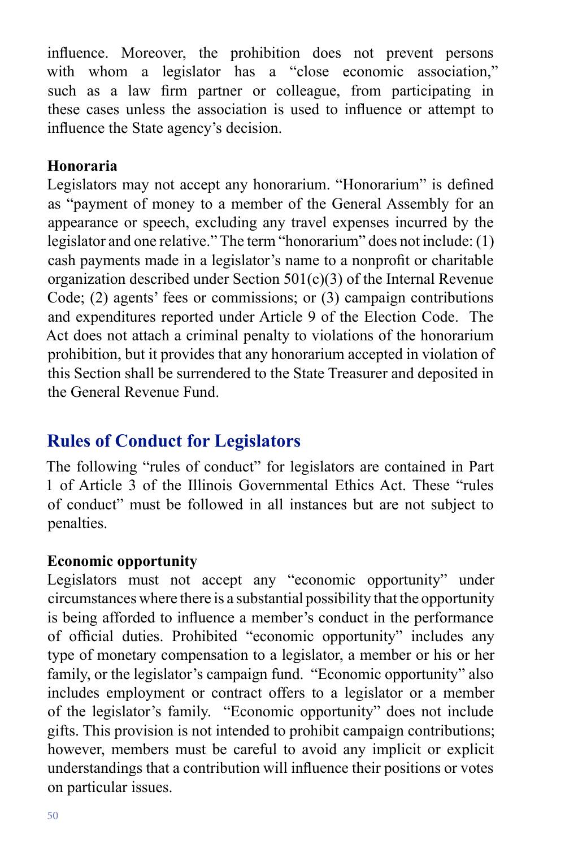infuence. Moreover, the prohibition does not prevent persons with whom a legislator has a "close economic association," such as a law frm partner or colleague, from participating in these cases unless the association is used to infuence or attempt to infuence the State agency's decision.

### **Honoraria**

Legislators may not accept any honorarium. "Honorarium" is defned as "payment of money to a member of the General Assembly for an appearance or speech, excluding any travel expenses incurred by the legislator and one relative." The term "honorarium" does not include: (1) cash payments made in a legislator's name to a nonproft or charitable organization described under Section 501(c)(3) of the Internal Revenue Code; (2) agents' fees or commissions; or (3) campaign contributions and expenditures reported under Article 9 of the Election Code. The Act does not attach a criminal penalty to violations of the honorarium prohibition, but it provides that any honorarium accepted in violation of this Section shall be surrendered to the State Treasurer and deposited in the General Revenue Fund.

# **Rules of Conduct for Legislators**

The following "rules of conduct" for legislators are contained in Part 1 of Article 3 of the Illinois Governmental Ethics Act. These "rules of conduct" must be followed in all instances but are not subject to penalties.

# **Economic opportunity**

Legislators must not accept any "economic opportunity" under circumstances where there is a substantial possibility that the opportunity is being afforded to infuence a member's conduct in the performance of official duties. Prohibited "economic opportunity" includes any type of monetary compensation to a legislator, a member or his or her family, or the legislator's campaign fund. "Economic opportunity" also includes employment or contract offers to a legislator or a member of the legislator's family. "Economic opportunity" does not include gifts. This provision is not intended to prohibit campaign contributions; however, members must be careful to avoid any implicit or explicit understandings that a contribution will infuence their positions or votes on particular issues.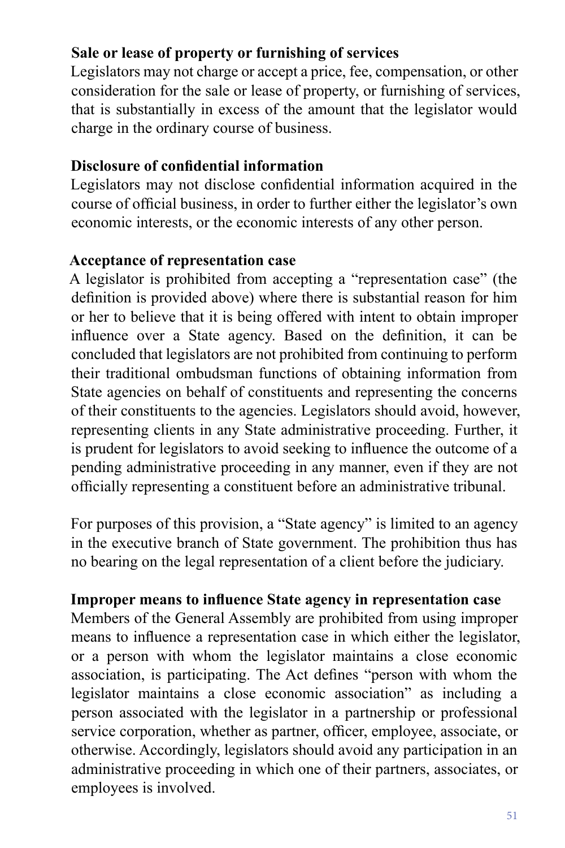# **Sale or lease of property or furnishing of services**

Legislators may not charge or accept a price, fee, compensation, or other consideration for the sale or lease of property, or furnishing of services, that is substantially in excess of the amount that the legislator would charge in the ordinary course of business.

#### **Disclosure of confdential information**

Legislators may not disclose confdential information acquired in the course of official business, in order to further either the legislator's own economic interests, or the economic interests of any other person.

#### **Acceptance of representation case**

A legislator is prohibited from accepting a "representation case" (the defnition is provided above) where there is substantial reason for him or her to believe that it is being offered with intent to obtain improper infuence over a State agency. Based on the defnition, it can be concluded that legislators are not prohibited from continuing to perform their traditional ombudsman functions of obtaining information from State agencies on behalf of constituents and representing the concerns of their constituents to the agencies. Legislators should avoid, however, representing clients in any State administrative proceeding. Further, it is prudent for legislators to avoid seeking to infuence the outcome of a pending administrative proceeding in any manner, even if they are not offcially representing a constituent before an administrative tribunal.

For purposes of this provision, a "State agency" is limited to an agency in the executive branch of State government. The prohibition thus has no bearing on the legal representation of a client before the judiciary.

#### **Improper means to infuence State agency in representation case**

Members of the General Assembly are prohibited from using improper means to infuence a representation case in which either the legislator, or a person with whom the legislator maintains a close economic association, is participating. The Act defnes "person with whom the legislator maintains a close economic association" as including a person associated with the legislator in a partnership or professional service corporation, whether as partner, officer, employee, associate, or otherwise. Accordingly, legislators should avoid any participation in an administrative proceeding in which one of their partners, associates, or employees is involved.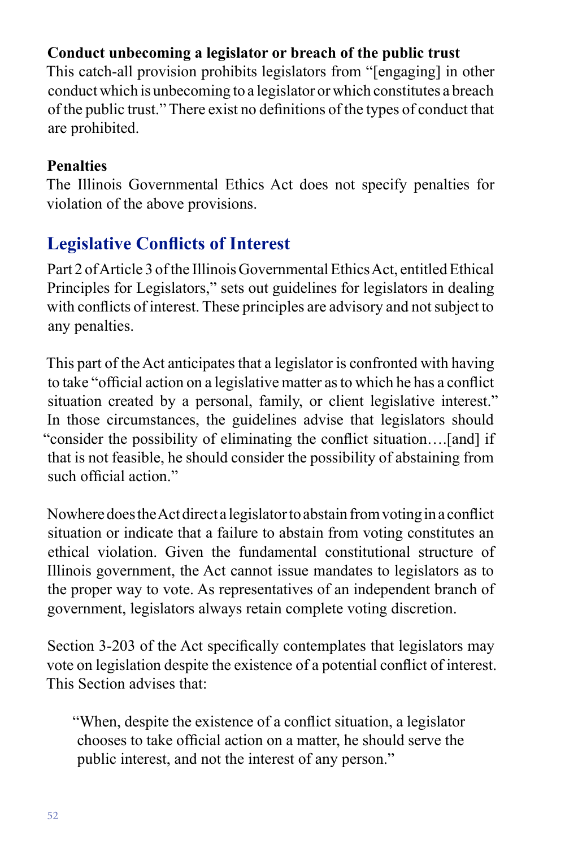# **Conduct unbecoming a legislator or breach of the public trust**

This catch-all provision prohibits legislators from "[engaging] in other conduct which is unbecoming to a legislator or which constitutes a breach of the public trust." There exist no defnitions of the types of conduct that are prohibited.

## **Penalties**

The Illinois Governmental Ethics Act does not specify penalties for violation of the above provisions.

# **Legislative Conficts of Interest**

Part 2 of Article 3 of the Illinois Governmental Ethics Act, entitled Ethical Principles for Legislators," sets out guidelines for legislators in dealing with conficts of interest. These principles are advisory and not subject to any penalties.

This part of the Act anticipates that a legislator is confronted with having to take "official action on a legislative matter as to which he has a conflict situation created by a personal, family, or client legislative interest." In those circumstances, the guidelines advise that legislators should "consider the possibility of eliminating the confict situation….[and] if that is not feasible, he should consider the possibility of abstaining from such official action."

Nowhere does the Act direct a legislator to abstain from voting in a confict situation or indicate that a failure to abstain from voting constitutes an ethical violation. Given the fundamental constitutional structure of Illinois government, the Act cannot issue mandates to legislators as to the proper way to vote. As representatives of an independent branch of government, legislators always retain complete voting discretion.

Section 3-203 of the Act specifcally contemplates that legislators may vote on legislation despite the existence of a potential confict of interest. This Section advises that:

"When, despite the existence of a confict situation, a legislator chooses to take offcial action on a matter, he should serve the public interest, and not the interest of any person."